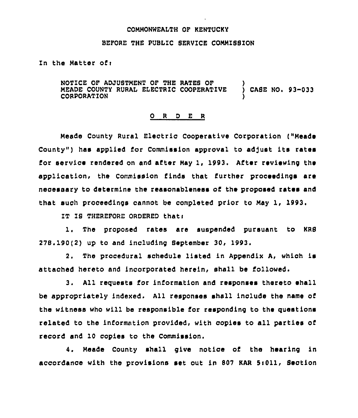### COMMONWEALTH OF KENTUCKY

### BEFORE THE PUBLIC SERVICE COMMISSION

Zn the Matter ofi

NOTICE OF ADJUSTMENT OF THE RATES OF MEADE COUNTY RURAL ELECTRIC COOPERATIVE ) CASE NO. 93-033 CORPORATION )

## 0 <sup>R</sup> <sup>D</sup> <sup>E</sup> <sup>R</sup>

Meade County Rural Electric Cooperative Corporation ("Meade County") has applied for Commission approval to adjust its rates for service rendered on and after May 1, 1993, After reviewing the application, the Commission finds that further proceedings are necessary to determine the reasonableness of the proposed rates and that such proceedings cannot be completed prior to May 1, 1993

IT IS THEREFORE ORDERED that:

1. The proposed rates are suspended pursuant to KRS 278. 190(2) up to and including September 30, 1993.

2. The procedural schedule listed in Appendix A, which is attached hereto and incorporated herein, shall be followed.

3. All requests for information and responses thereto shall be appropriately indexed. All responses shall include the name of the witness who will be responsible for responding to the questions related to the information provided, with copies to all parties of record and 10 copies to the Commission.

4. Meade County shall give notice of the hearing in accordance with the provisions set out in 807 KAR 5:011, Section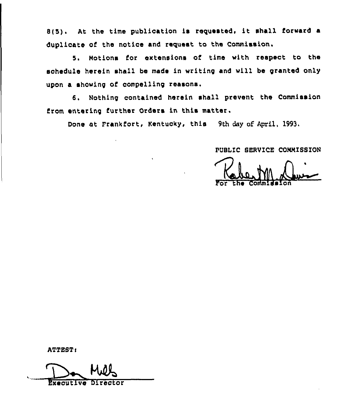8(5). At the time publication is requested, it shall forward a duplicate of the notice and request to the Commission.

5. Motions for extensions of time with respect to the schedule herein shall be made in writing and will be granted only upon a showing of compelling reasons.

6. Nothing contained herein shall prevent the Commission from entering further Orders in this matter.

Done at Frankfort, Kentucky, this 9th day of April, 1993.

PUBLiC SERVICE COMMISSION

For the Commissio

ATTEST:

Executive Dire